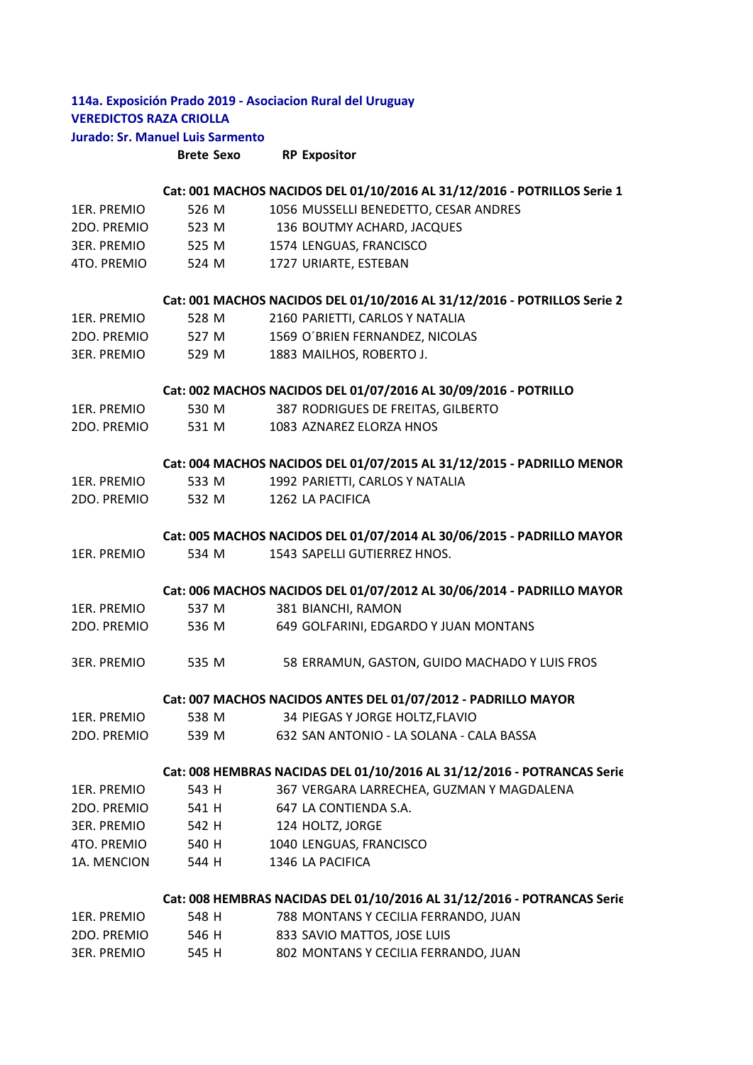# **114a. Exposición Prado 2019 ‐ Asociacion Rural del Uruguay VEREDICTOS RAZA CRIOLLA Jurado: Sr. Manuel Luis Sarmento**

**Brete Sexo RP Expositor**

|                    |       | Cat: 001 MACHOS NACIDOS DEL 01/10/2016 AL 31/12/2016 - POTRILLOS Serie 1 |
|--------------------|-------|--------------------------------------------------------------------------|
| 1ER. PREMIO        | 526 M | 1056 MUSSELLI BENEDETTO, CESAR ANDRES                                    |
| 2DO. PREMIO        | 523 M | 136 BOUTMY ACHARD, JACQUES                                               |
| 3ER. PREMIO        | 525 M | 1574 LENGUAS, FRANCISCO                                                  |
| 4TO. PREMIO        | 524 M | 1727 URIARTE, ESTEBAN                                                    |
|                    |       | Cat: 001 MACHOS NACIDOS DEL 01/10/2016 AL 31/12/2016 - POTRILLOS Serie 2 |
| 1ER. PREMIO        | 528 M | 2160 PARIETTI, CARLOS Y NATALIA                                          |
| 2DO. PREMIO        | 527 M | 1569 O'BRIEN FERNANDEZ, NICOLAS                                          |
| <b>3ER. PREMIO</b> | 529 M | 1883 MAILHOS, ROBERTO J.                                                 |
|                    |       | Cat: 002 MACHOS NACIDOS DEL 01/07/2016 AL 30/09/2016 - POTRILLO          |
| 1ER. PREMIO        | 530 M | 387 RODRIGUES DE FREITAS, GILBERTO                                       |
| 2DO. PREMIO        | 531 M | 1083 AZNAREZ ELORZA HNOS                                                 |
|                    |       | Cat: 004 MACHOS NACIDOS DEL 01/07/2015 AL 31/12/2015 - PADRILLO MENOR    |
| 1ER. PREMIO        | 533 M | 1992 PARIETTI, CARLOS Y NATALIA                                          |
| 2DO. PREMIO        | 532 M | 1262 LA PACIFICA                                                         |
|                    |       | Cat: 005 MACHOS NACIDOS DEL 01/07/2014 AL 30/06/2015 - PADRILLO MAYOR    |
| 1ER. PREMIO        | 534 M | 1543 SAPELLI GUTIERREZ HNOS.                                             |
|                    |       | Cat: 006 MACHOS NACIDOS DEL 01/07/2012 AL 30/06/2014 - PADRILLO MAYOR    |
| 1ER. PREMIO        | 537 M | 381 BIANCHI, RAMON                                                       |
| 2DO. PREMIO        | 536 M | 649 GOLFARINI, EDGARDO Y JUAN MONTANS                                    |
| 3ER. PREMIO        | 535 M | 58 ERRAMUN, GASTON, GUIDO MACHADO Y LUIS FROS                            |
|                    |       | Cat: 007 MACHOS NACIDOS ANTES DEL 01/07/2012 - PADRILLO MAYOR            |
| 1ER. PREMIO        | 538 M | 34 PIEGAS Y JORGE HOLTZ, FLAVIO                                          |
| 2DO. PREMIO        | 539 M | 632 SAN ANTONIO - LA SOLANA - CALA BASSA                                 |
|                    |       | Cat: 008 HEMBRAS NACIDAS DEL 01/10/2016 AL 31/12/2016 - POTRANCAS Serie  |
| 1ER. PREMIO        | 543 H | 367 VERGARA LARRECHEA, GUZMAN Y MAGDALENA                                |
| 2DO. PREMIO        | 541 H | 647 LA CONTIENDA S.A.                                                    |
| <b>3ER. PREMIO</b> | 542 H | 124 HOLTZ, JORGE                                                         |
| 4TO. PREMIO        | 540 H | 1040 LENGUAS, FRANCISCO                                                  |
| 1A. MENCION        | 544 H | 1346 LA PACIFICA                                                         |
|                    |       | Cat: 008 HEMBRAS NACIDAS DEL 01/10/2016 AL 31/12/2016 - POTRANCAS Serie  |
| 1ER. PREMIO        | 548 H | 788 MONTANS Y CECILIA FERRANDO, JUAN                                     |
| 2DO. PREMIO        | 546 H | 833 SAVIO MATTOS, JOSE LUIS                                              |
| <b>3ER. PREMIO</b> | 545 H | 802 MONTANS Y CECILIA FERRANDO, JUAN                                     |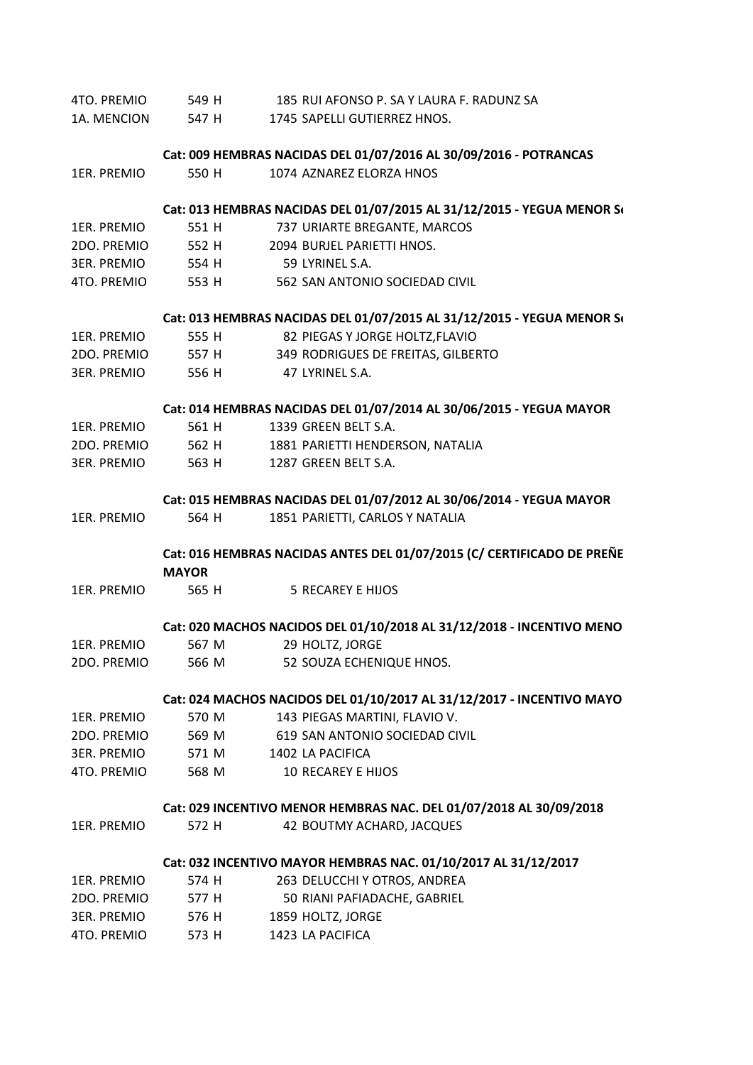| 4TO. PREMIO | 549 H             | 185 RUI AFONSO P. SA Y LAURA F. RADUNZ SA                              |
|-------------|-------------------|------------------------------------------------------------------------|
| 1A. MENCION | 547 H             | 1745 SAPELLI GUTIERREZ HNOS.                                           |
|             |                   | Cat: 009 HEMBRAS NACIDAS DEL 01/07/2016 AL 30/09/2016 - POTRANCAS      |
| 1ER. PREMIO | 550 H             | 1074 AZNAREZ ELORZA HNOS                                               |
|             |                   |                                                                        |
|             |                   | Cat: 013 HEMBRAS NACIDAS DEL 01/07/2015 AL 31/12/2015 - YEGUA MENOR S( |
| 1ER. PREMIO | 551 H             | 737 URIARTE BREGANTE, MARCOS                                           |
| 2DO. PREMIO | 552 H             | 2094 BURJEL PARIETTI HNOS.                                             |
| 3ER. PREMIO | 554 H             | 59 LYRINEL S.A.                                                        |
| 4TO. PREMIO |                   | 553 H 562 SAN ANTONIO SOCIEDAD CIVIL                                   |
|             |                   | Cat: 013 HEMBRAS NACIDAS DEL 01/07/2015 AL 31/12/2015 - YEGUA MENOR S( |
| 1ER. PREMIO | 555 H             | 82 PIEGAS Y JORGE HOLTZ, FLAVIO                                        |
| 2DO. PREMIO | 557 H             | 349 RODRIGUES DE FREITAS, GILBERTO                                     |
| 3ER. PREMIO | 556 H             | 47 LYRINEL S.A.                                                        |
|             |                   | Cat: 014 HEMBRAS NACIDAS DEL 01/07/2014 AL 30/06/2015 - YEGUA MAYOR    |
| 1ER. PREMIO | 561 H             | 1339 GREEN BELT S.A.                                                   |
| 2DO. PREMIO | 562 H             | 1881 PARIETTI HENDERSON, NATALIA                                       |
|             | 563 H             | 1287 GREEN BELT S.A.                                                   |
| 3ER. PREMIO |                   |                                                                        |
|             |                   | Cat: 015 HEMBRAS NACIDAS DEL 01/07/2012 AL 30/06/2014 - YEGUA MAYOR    |
| 1ER. PREMIO | 564 H             | 1851 PARIETTI, CARLOS Y NATALIA                                        |
|             |                   | Cat: 016 HEMBRAS NACIDAS ANTES DEL 01/07/2015 (C/ CERTIFICADO DE PREÑE |
|             | <b>MAYOR</b>      |                                                                        |
| 1ER. PREMIO | 565 H             | <b>5 RECAREY E HIJOS</b>                                               |
|             |                   | Cat: 020 MACHOS NACIDOS DEL 01/10/2018 AL 31/12/2018 - INCENTIVO MENO  |
| 1ER. PREMIO | 567 M             | 29 HOLTZ, JORGE                                                        |
| 2DO. PREMIO |                   | 566 M 52 SOUZA ECHENIQUE HNOS.                                         |
|             |                   | Cat: 024 MACHOS NACIDOS DEL 01/10/2017 AL 31/12/2017 - INCENTIVO MAYO  |
| 1ER. PREMIO | 570 M             | 143 PIEGAS MARTINI, FLAVIO V.                                          |
| 2DO. PREMIO |                   | 569 M 619 SAN ANTONIO SOCIEDAD CIVIL                                   |
| 3ER. PREMIO | 571 M             | 1402 LA PACIFICA                                                       |
| 4TO. PREMIO | 568 M             | <b>10 RECAREY E HIJOS</b>                                              |
|             |                   | Cat: 029 INCENTIVO MENOR HEMBRAS NAC. DEL 01/07/2018 AL 30/09/2018     |
| 1ER. PREMIO | 572 H             | 42 BOUTMY ACHARD, JACQUES                                              |
|             |                   |                                                                        |
|             |                   | Cat: 032 INCENTIVO MAYOR HEMBRAS NAC. 01/10/2017 AL 31/12/2017         |
| 1ER. PREMIO | 574 H             | 263 DELUCCHI Y OTROS, ANDREA                                           |
| 2DO. PREMIO | 577 H             | 50 RIANI PAFIADACHE, GABRIEL                                           |
|             | 3ER. PREMIO 576 H | 1859 HOLTZ, JORGE                                                      |
| 4TO. PREMIO | 573 H             | 1423 LA PACIFICA                                                       |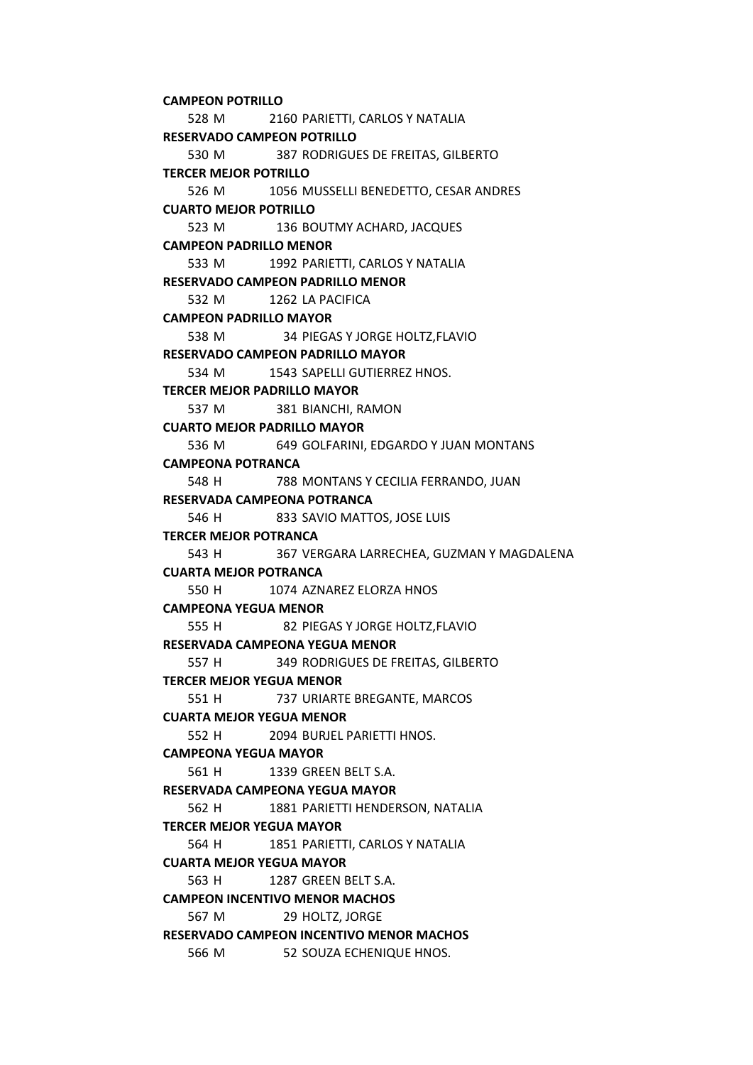528 M 2160 PARIETTI, CARLOS Y NATALIA 530 M 387 RODRIGUES DE FREITAS, GILBERTO 526 M 1056 MUSSELLI BENEDETTO, CESAR ANDRES 523 M 136 BOUTMY ACHARD, JACQUES 533 M 1992 PARIETTI, CARLOS Y NATALIA 532 M 1262 LA PACIFICA 538 M 34 PIEGAS Y JORGE HOLTZ,FLAVIO 534 M 1543 SAPELLI GUTIERREZ HNOS. 537 M 381 BIANCHI, RAMON 536 M 649 GOLFARINI, EDGARDO Y JUAN MONTANS 548 H 788 MONTANS Y CECILIA FERRANDO, JUAN 546 H 833 SAVIO MATTOS, JOSE LUIS 543 H 367 VERGARA LARRECHEA, GUZMAN Y MAGDALENA 550 H 1074 AZNAREZ ELORZA HNOS 555 H 82 PIEGAS Y JORGE HOLTZ,FLAVIO 557 H 349 RODRIGUES DE FREITAS, GILBERTO 551 H 737 URIARTE BREGANTE, MARCOS 552 H 2094 BURJEL PARIETTI HNOS. 561 H 1339 GREEN BELT S.A. 562 H 1881 PARIETTI HENDERSON, NATALIA 564 H 1851 PARIETTI, CARLOS Y NATALIA 563 H 1287 GREEN BELT S.A. 567 M 29 HOLTZ, JORGE 566 M 52 SOUZA ECHENIQUE HNOS. **TERCER MEJOR YEGUA MAYOR CUARTA MEJOR YEGUA MAYOR CAMPEON INCENTIVO MENOR MACHOS RESERVADO CAMPEON INCENTIVO MENOR MACHOS CAMPEONA YEGUA MENOR RESERVADA CAMPEONA YEGUA MENOR TERCER MEJOR YEGUA MENOR CUARTA MEJOR YEGUA MENOR CAMPEONA YEGUA MAYOR RESERVADA CAMPEONA YEGUA MAYOR TERCER MEJOR PADRILLO MAYOR CUARTO MEJOR PADRILLO MAYOR CAMPEONA POTRANCA RESERVADA CAMPEONA POTRANCA TERCER MEJOR POTRANCA CUARTA MEJOR POTRANCA TERCER MEJOR POTRILLO CUARTO MEJOR POTRILLO CAMPEON PADRILLO MENOR RESERVADO CAMPEON PADRILLO MENOR CAMPEON PADRILLO MAYOR RESERVADO CAMPEON PADRILLO MAYOR CAMPEON POTRILLO RESERVADO CAMPEON POTRILLO**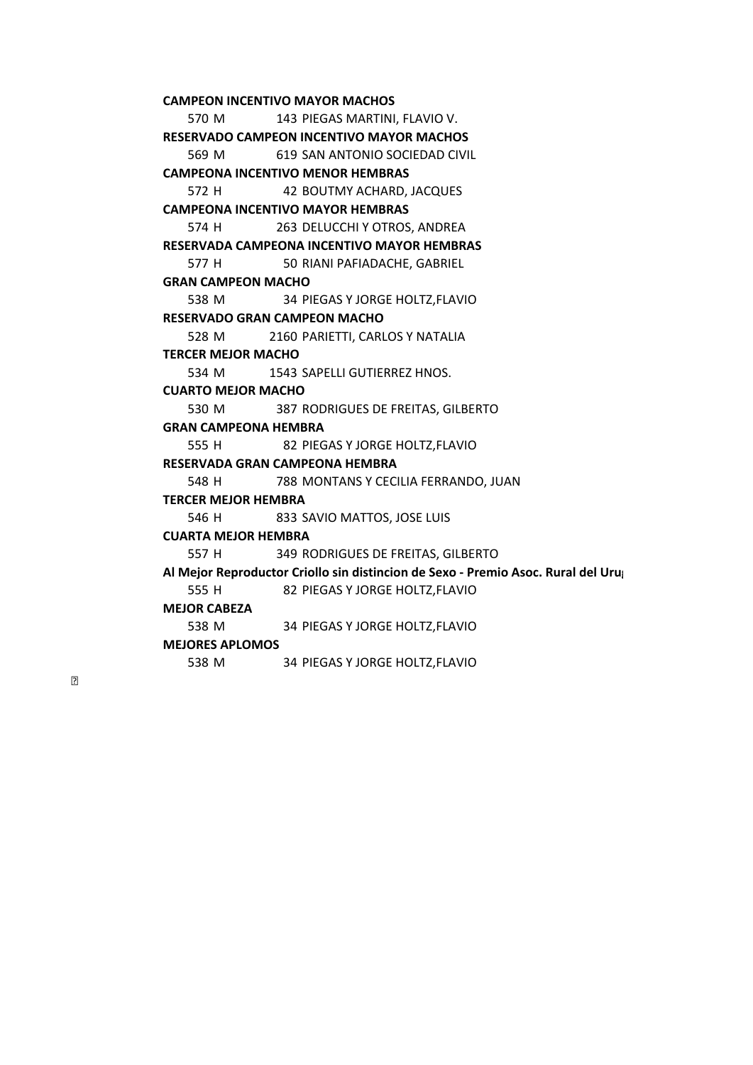**CAMPEON INCENTIVO MAYOR MACHOS** 

570 M 143 PIEGAS MARTINI, FLAVIO V. 569 M 619 SAN ANTONIO SOCIEDAD CIVIL **RESERVADO CAMPEON INCENTIVO MAYOR MACHOS** 

**CAMPEONA INCENTIVO MENOR HEMBRAS** 

572 H 42 BOUTMY ACHARD, JACQUES

**CAMPEONA INCENTIVO MAYOR HEMBRAS** 

574 H 263 DELUCCHI Y OTROS, ANDREA

**RESERVADA CAMPEONA INCENTIVO MAYOR HEMBRAS** 

577 H 50 RIANI PAFIADACHE, GABRIEL

## **GRAN CAMPEON MACHO**

538 M 34 PIEGAS Y JORGE HOLTZ,FLAVIO **RESERVADO GRAN CAMPEON MACHO** 

528 M 2160 PARIETTI, CARLOS Y NATALIA **TERCER MEJOR MACHO** 

534 M 1543 SAPELLI GUTIERREZ HNOS.

## **CUARTO MEJOR MACHO**

530 M 387 RODRIGUES DE FREITAS, GILBERTO

## **GRAN CAMPEONA HEMBRA**

555 H 82 PIEGAS Y JORGE HOLTZ,FLAVIO

#### **RESERVADA GRAN CAMPEONA HEMBRA**

548 H 788 MONTANS Y CECILIA FERRANDO, JUAN

#### **TERCER MEJOR HEMBRA**

546 H 833 SAVIO MATTOS, JOSE LUIS

## **CUARTA MEJOR HEMBRA**

557 H 349 RODRIGUES DE FREITAS, GILBERTO

555 H 82 PIEGAS Y JORGE HOLTZ,FLAVIO **Al Mejor Reproductor Criollo sin distincion de Sexo ‐ Premio Asoc. Rural del Urug**

#### **MEJOR CABEZA**

538 M 34 PIEGAS Y JORGE HOLTZ,FLAVIO

#### **MEJORES APLOMOS**

538 M 34 PIEGAS Y JORGE HOLTZ,FLAVIO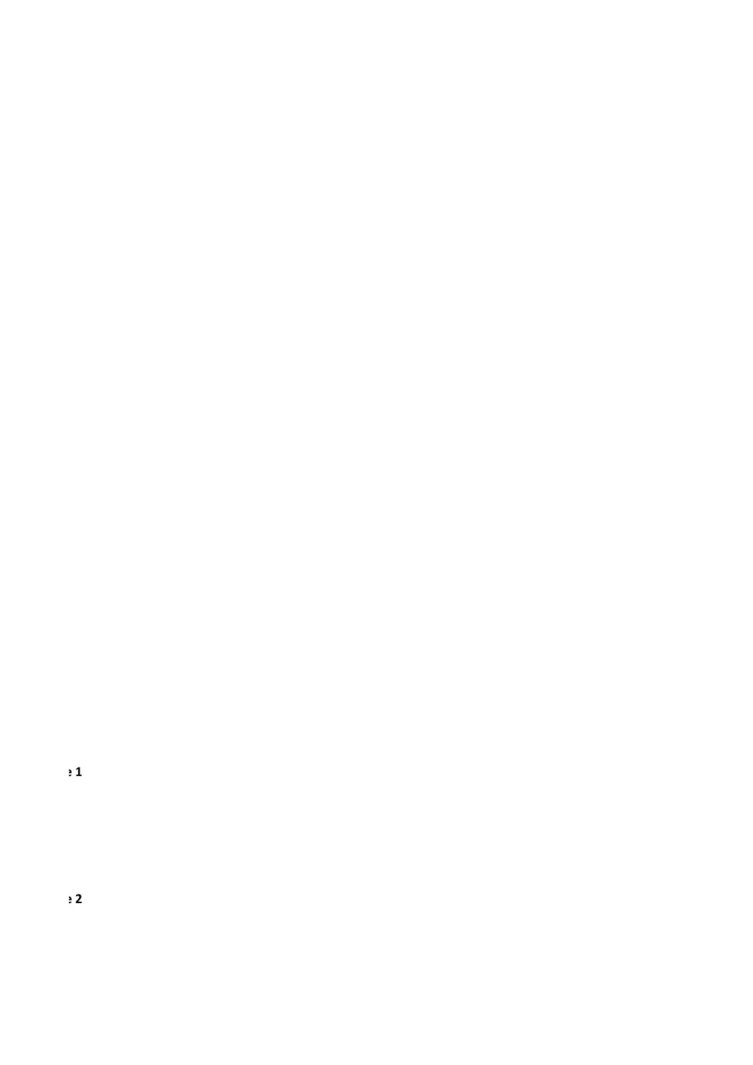$\frac{1}{2}$ 

 $\div$  2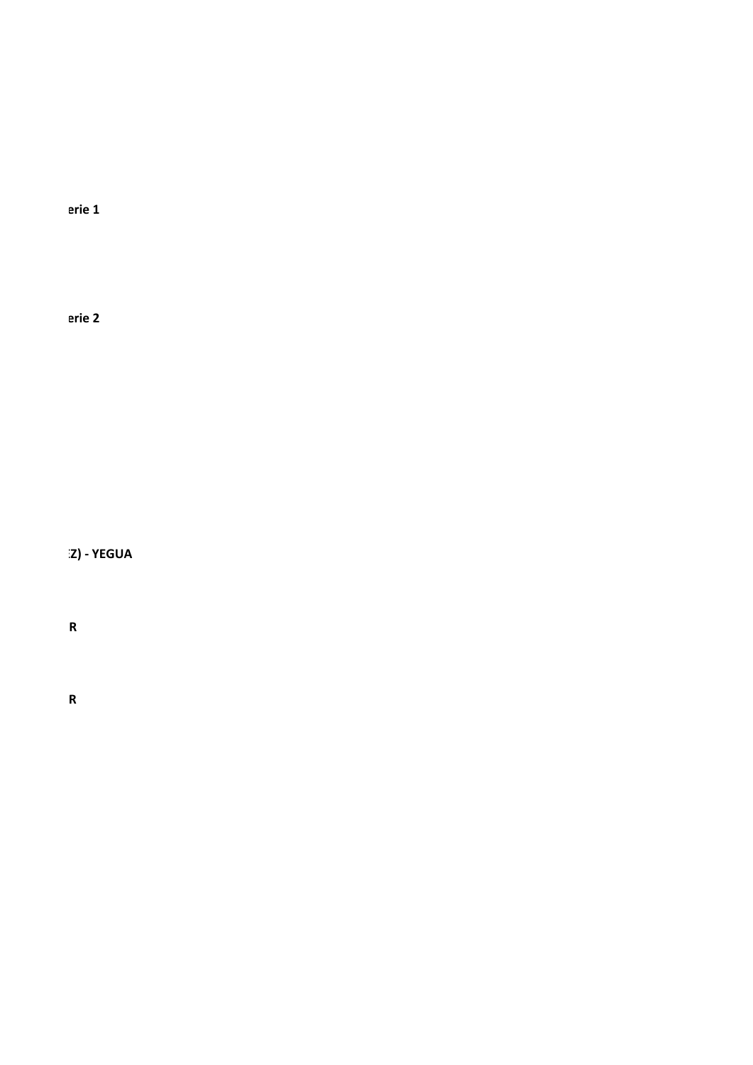erie 1

erie 2

Z) - YEGUA

 ${\sf R}$ 

 $\pmb{\mathsf{R}}$